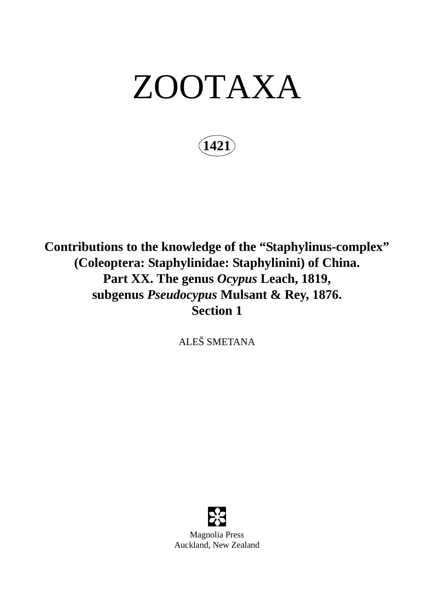# ZOOTAXA

**1421**

**Contributions to the knowledge of the "Staphylinus-complex" (Coleoptera: Staphylinidae: Staphylinini) of China. Part XX. The genus** *Ocypus* **Leach, 1819, subgenus** *Pseudocypus* **Mulsant & Rey, 1876. Section 1**

ALEŠ SMETANA

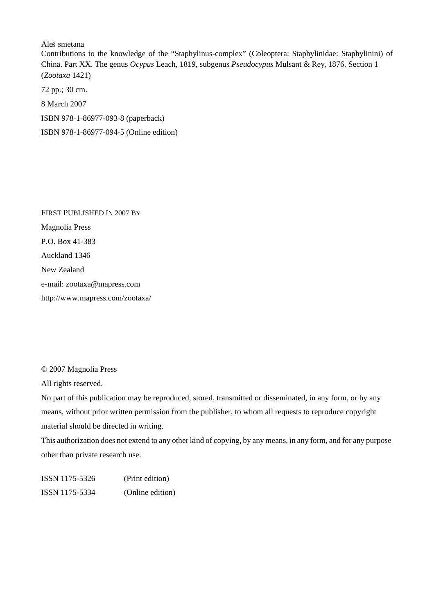Aleš smetana<br>Contributions to the knowledge of the "Staphylinus-complex" (Coleoptera: Staphylinidae: Staphylinini) of China. Part XX. The genus *Ocypus* Leach, 1819, subgenus *Pseudocypus* Mulsant & Rey, 1876. Section 1 (*Zootaxa* 1421) 72 pp.; 30 cm. 8 March 2007

ISBN 978-1-86977-093-8 (paperback)

ISBN 978-1-86977-094-5 (Online edition)

FIRST PUBLISHED IN 2007 BY Magnolia Press P.O. Box 41-383 Auckland 1346 New Zealand e-mail: zootaxa@mapress.com http://www.mapress.com/zootaxa/

© 2007 Magnolia Press

All rights reserved.

No part of this publication may be reproduced, stored, transmitted or disseminated, in any form, or by any means, without prior written permission from the publisher, to whom all requests to reproduce copyright material should be directed in writing.

This authorization does not extend to any other kind of copying, by any means, in any form, and for any purpose other than private research use.

ISSN 1175-5326 (Print edition) ISSN 1175-5334 (Online edition)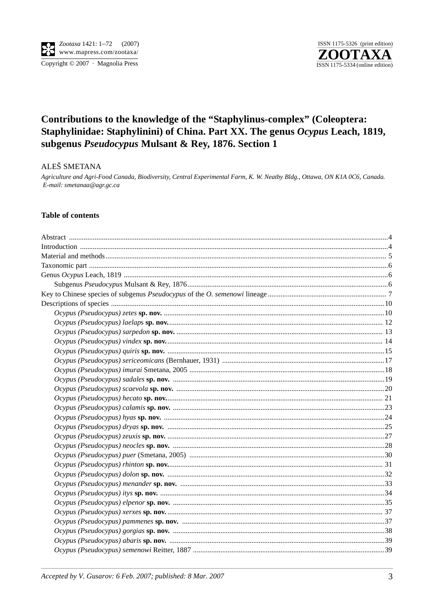Copyright © 2007 · Magnolia Press



## Contributions to the knowledge of the "Staphylinus-complex" (Coleoptera: Staphylinidae: Staphylinini) of China. Part XX. The genus Ocypus Leach, 1819, subgenus Pseudocypus Mulsant & Rey, 1876. Section 1

### ALEŠ SMETANA

Agriculture and Agri-Food Canada, Biodiversity, Central Experimental Farm, K. W. Neatby Bldg., Ottawa, ON K1A 0C6, Canada. E-mail: smetanaa@agr.gc.ca

#### **Table of contents**